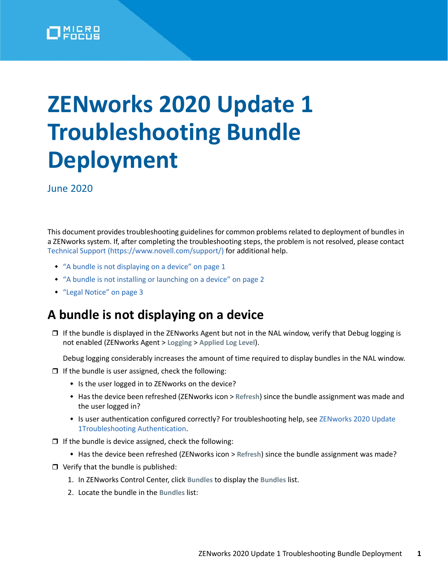

# **ZENworks 2020 Update 1 Troubleshooting Bundle Deployment**

June 2020

This document provides troubleshooting guidelines for common problems related to deployment of bundles in a ZENworks system. If, after completing the troubleshooting steps, the problem is not resolved, please contact [Technical Support](https://www.novell.com/support/) (https://www.novell.com/support/) for additional help.

- ["A bundle is not displaying on a device" on page 1](#page-0-0)
- ["A bundle is not installing or launching on a device" on page 2](#page-1-0)
- ["Legal Notice" on page 3](#page-2-0)

#### <span id="page-0-0"></span>**A bundle is not displaying on a device**

 $\Box$  If the bundle is displayed in the ZENworks Agent but not in the NAL window, verify that Debug logging is not enabled (ZENworks Agent > **Logging** > **Applied Log Level**).

Debug logging considerably increases the amount of time required to display bundles in the NAL window.

- $\Box$  If the bundle is user assigned, check the following:
	- Is the user logged in to ZENworks on the device?
	- Has the device been refreshed (ZENworks icon > **Refresh**) since the bundle assignment was made and the user logged in?
	- Is user authentication configured correctly? For troubleshooting help, see ZENworks 2020 Update [1Troubleshooting Authentication.](https://www.novell.com/documentation/zenworks-2020/pdfdoc/zen_troubleshooting_authentication/zen_troubleshooting_authentication.pdf#zentroubleshootingauthentication)
- $\Box$  If the bundle is device assigned, check the following:
	- Has the device been refreshed (ZENworks icon > **Refresh**) since the bundle assignment was made?
- $\Box$  Verify that the bundle is published:
	- 1. In ZENworks Control Center, click **Bundles** to display the **Bundles** list.
	- 2. Locate the bundle in the **Bundles** list: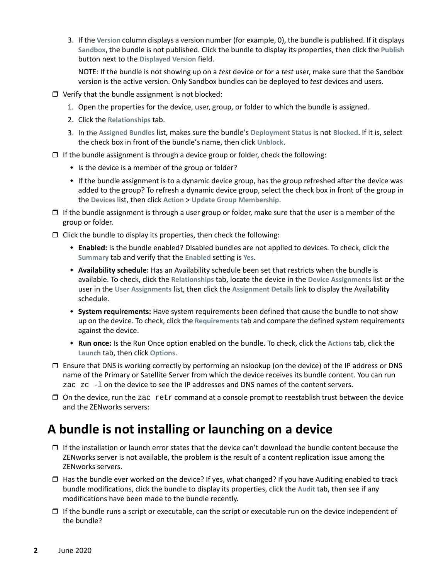3. If the **Version** column displays a version number (for example, 0), the bundle is published. If it displays **Sandbox**, the bundle is not published. Click the bundle to display its properties, then click the **Publish** button next to the **Displayed Version** field.

NOTE: If the bundle is not showing up on a *test* device or for a *test* user, make sure that the Sandbox version is the active version. Only Sandbox bundles can be deployed to *test* devices and users.

- $\Box$  Verify that the bundle assignment is not blocked:
	- 1. Open the properties for the device, user, group, or folder to which the bundle is assigned.
	- 2. Click the **Relationships** tab.
	- 3. In the **Assigned Bundles** list, makes sure the bundle's **Deployment Status** is not **Blocked**. If it is, select the check box in front of the bundle's name, then click **Unblock**.
- $\Box$  If the bundle assignment is through a device group or folder, check the following:
	- $\bullet$  Is the device is a member of the group or folder?
	- If the bundle assignment is to a dynamic device group, has the group refreshed after the device was added to the group? To refresh a dynamic device group, select the check box in front of the group in the **Devices** list, then click **Action** > **Update Group Membership**.
- $\Box$  If the bundle assignment is through a user group or folder, make sure that the user is a member of the group or folder.
- $\Box$  Click the bundle to display its properties, then check the following:
	- **Enabled:** Is the bundle enabled? Disabled bundles are not applied to devices. To check, click the **Summary** tab and verify that the **Enabled** setting is **Yes**.
	- **Availability schedule:** Has an Availability schedule been set that restricts when the bundle is available. To check, click the **Relationships** tab, locate the device in the **Device Assignments** list or the user in the **User Assignments** list, then click the **Assignment Details** link to display the Availability schedule.
	- **System requirements:** Have system requirements been defined that cause the bundle to not show up on the device. To check, click the **Requirements** tab and compare the defined system requirements against the device.
	- **Run once:** Is the Run Once option enabled on the bundle. To check, click the **Actions** tab, click the **Launch** tab, then click **Options**.
- $\Box$  Ensure that DNS is working correctly by performing an nslookup (on the device) of the IP address or DNS name of the Primary or Satellite Server from which the device receives its bundle content. You can run zac zc -l on the device to see the IP addresses and DNS names of the content servers.
- $\Box$  On the device, run the zac retr command at a console prompt to reestablish trust between the device and the ZENworks servers:

### <span id="page-1-0"></span>**A bundle is not installing or launching on a device**

- $\Box$  If the installation or launch error states that the device can't download the bundle content because the ZENworks server is not available, the problem is the result of a content replication issue among the ZENworks servers.
- $\Box$  Has the bundle ever worked on the device? If yes, what changed? If you have Auditing enabled to track bundle modifications, click the bundle to display its properties, click the **Audit** tab, then see if any modifications have been made to the bundle recently.
- $\Box$  If the bundle runs a script or executable, can the script or executable run on the device independent of the bundle?